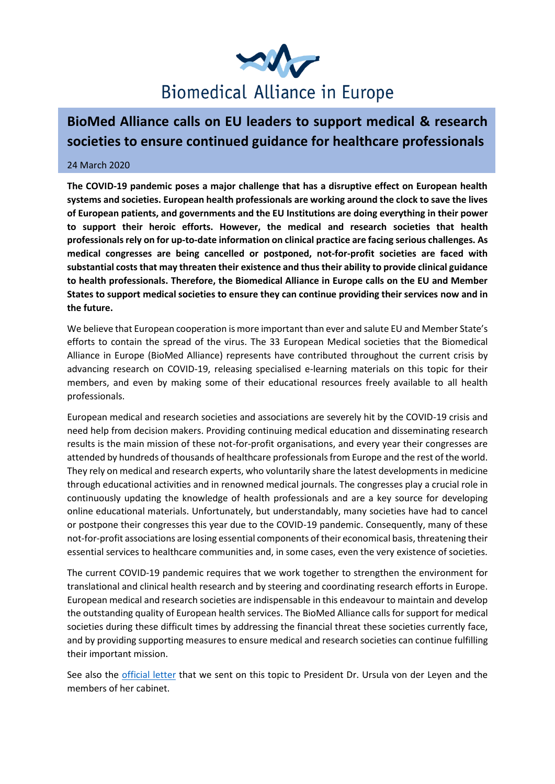

## **BioMed Alliance calls on EU leaders to support medical & research societies to ensure continued guidance for healthcare professionals**

## 24 March 2020

**The COVID-19 pandemic poses a major challenge that has a disruptive effect on European health systems and societies. European health professionals are working around the clock to save the lives of European patients, and governments and the EU Institutions are doing everything in their power to support their heroic efforts. However, the medical and research societies that health professionals rely on for up-to-date information on clinical practice are facing serious challenges. As medical congresses are being cancelled or postponed, not-for-profit societies are faced with substantial costs that may threaten their existence and thus their ability to provide clinical guidance to health professionals. Therefore, the Biomedical Alliance in Europe calls on the EU and Member States to support medical societies to ensure they can continue providing their services now and in the future.**

We believe that European cooperation is more important than ever and salute EU and Member State's efforts to contain the spread of the virus. The 33 European Medical societies that the Biomedical Alliance in Europe (BioMed Alliance) represents have contributed throughout the current crisis by advancing research on COVID-19, releasing specialised e-learning materials on this topic for their members, and even by making some of their educational resources freely available to all health professionals.

European medical and research societies and associations are severely hit by the COVID-19 crisis and need help from decision makers. Providing continuing medical education and disseminating research results is the main mission of these not-for-profit organisations, and every year their congresses are attended by hundreds of thousands of healthcare professionals from Europe and the rest of the world. They rely on medical and research experts, who voluntarily share the latest developments in medicine through educational activities and in renowned medical journals. The congresses play a crucial role in continuously updating the knowledge of health professionals and are a key source for developing online educational materials. Unfortunately, but understandably, many societies have had to cancel or postpone their congresses this year due to the COVID-19 pandemic. Consequently, many of these not-for-profit associations are losing essential components of their economical basis, threatening their essential services to healthcare communities and, in some cases, even the very existence of societies.

The current COVID-19 pandemic requires that we work together to strengthen the environment for translational and clinical health research and by steering and coordinating research efforts in Europe. European medical and research societies are indispensable in this endeavour to maintain and develop the outstanding quality of European health services. The BioMed Alliance calls for support for medical societies during these difficult times by addressing the financial threat these societies currently face, and by providing supporting measures to ensure medical and research societies can continue fulfilling their important mission.

See also the [official letter](https://www.biomedeurope.org/images/pdf/news/Letter_President_Von_der_Leyen.pdf) that we sent on this topic to President Dr. Ursula von der Leyen and the members of her cabinet.